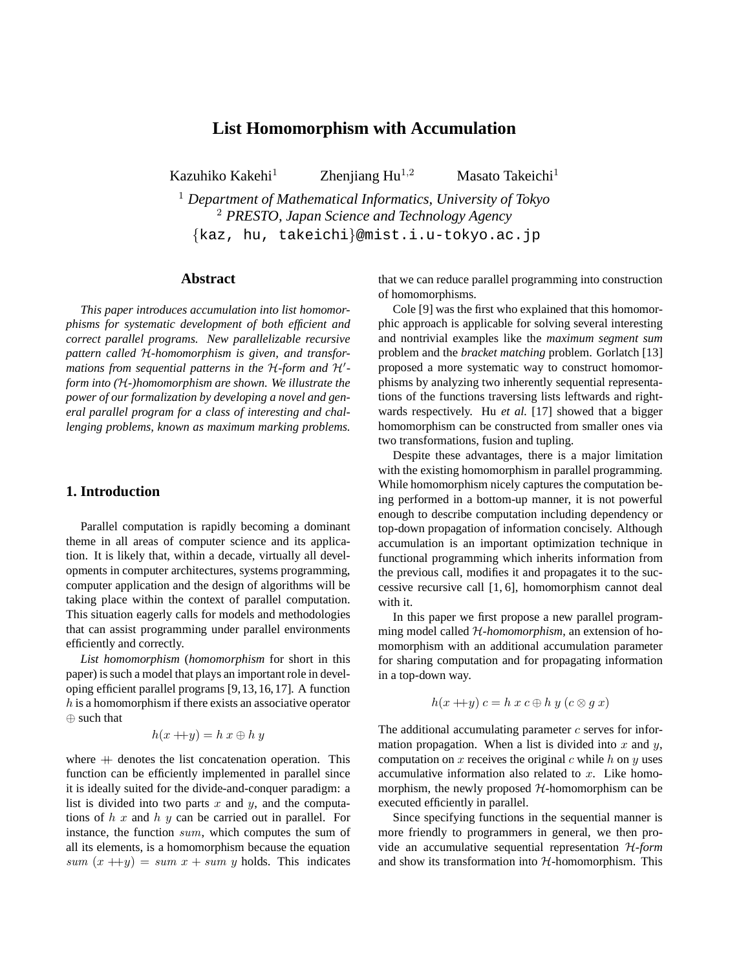# **List Homomorphism with Accumulation**

Kazuhiko Kakehi<sup>1</sup> Zhenjiang Hu<sup>1,2</sup> Masato Takeichi<sup>1</sup>

<sup>1</sup> *Department of Mathematical Informatics, University of Tokyo* <sup>2</sup> *PRESTO, Japan Science and Technology Agency* {kaz, hu, takeichi}@mist.i.u-tokyo.ac.jp

### **Abstract**

*This paper introduces accumulation into list homomorphisms for systematic development of both efficient and correct parallel programs. New parallelizable recursive pattern called* H*-homomorphism is given, and transformations from sequential patterns in the H-form and H'form into (*H*-)homomorphism are shown. We illustrate the power of our formalization by developing a novel and general parallel program for a class of interesting and challenging problems, known as maximum marking problems.*

# **1. Introduction**

Parallel computation is rapidly becoming a dominant theme in all areas of computer science and its application. It is likely that, within a decade, virtually all developments in computer architectures, systems programming, computer application and the design of algorithms will be taking place within the context of parallel computation. This situation eagerly calls for models and methodologies that can assist programming under parallel environments efficiently and correctly.

*List homomorphism* (*homomorphism* for short in this paper) is such a model that plays an important role in developing efficient parallel programs [9,13,16,17]. A function  $h$  is a homomorphism if there exists an associative operator ⊕ such that

$$
h(x + y) = h x \oplus h y
$$

where  $+$  denotes the list concatenation operation. This function can be efficiently implemented in parallel since it is ideally suited for the divide-and-conquer paradigm: a list is divided into two parts x and y, and the computations of  $h x$  and  $h y$  can be carried out in parallel. For instance, the function sum, which computes the sum of all its elements, is a homomorphism because the equation sum  $(x +y) = sum x + sum y$  holds. This indicates that we can reduce parallel programming into construction of homomorphisms.

Cole [9] was the first who explained that this homomorphic approach is applicable for solving several interesting and nontrivial examples like the *maximum segment sum* problem and the *bracket matching* problem. Gorlatch [13] proposed a more systematic way to construct homomorphisms by analyzing two inherently sequential representations of the functions traversing lists leftwards and rightwards respectively. Hu *et al.* [17] showed that a bigger homomorphism can be constructed from smaller ones via two transformations, fusion and tupling.

Despite these advantages, there is a major limitation with the existing homomorphism in parallel programming. While homomorphism nicely captures the computation being performed in a bottom-up manner, it is not powerful enough to describe computation including dependency or top-down propagation of information concisely. Although accumulation is an important optimization technique in functional programming which inherits information from the previous call, modifies it and propagates it to the successive recursive call [1, 6], homomorphism cannot deal with it.

In this paper we first propose a new parallel programming model called H*-homomorphism*, an extension of homomorphism with an additional accumulation parameter for sharing computation and for propagating information in a top-down way.

$$
h(x + y) c = h x c \oplus h y (c \otimes g x)
$$

The additional accumulating parameter  $c$  serves for information propagation. When a list is divided into  $x$  and  $y$ , computation on  $x$  receives the original  $c$  while  $h$  on  $y$  uses accumulative information also related to  $x$ . Like homomorphism, the newly proposed  $H$ -homomorphism can be executed efficiently in parallel.

Since specifying functions in the sequential manner is more friendly to programmers in general, we then provide an accumulative sequential representation H*-form* and show its transformation into  $H$ -homomorphism. This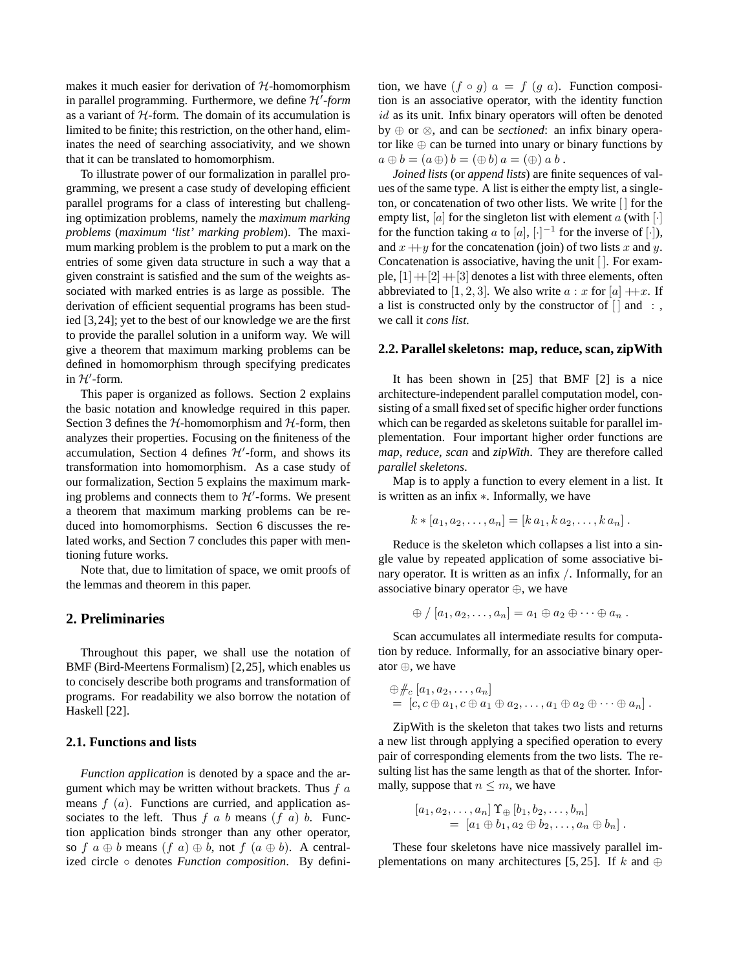makes it much easier for derivation of  $H$ -homomorphism in parallel programming. Furthermore, we define H'-form as a variant of  $H$ -form. The domain of its accumulation is limited to be finite; this restriction, on the other hand, eliminates the need of searching associativity, and we shown that it can be translated to homomorphism.

To illustrate power of our formalization in parallel programming, we present a case study of developing efficient parallel programs for a class of interesting but challenging optimization problems, namely the *maximum marking problems* (*maximum 'list' marking problem*). The maximum marking problem is the problem to put a mark on the entries of some given data structure in such a way that a given constraint is satisfied and the sum of the weights associated with marked entries is as large as possible. The derivation of efficient sequential programs has been studied [3,24]; yet to the best of our knowledge we are the first to provide the parallel solution in a uniform way. We will give a theorem that maximum marking problems can be defined in homomorphism through specifying predicates in  $H'$ -form.

This paper is organized as follows. Section 2 explains the basic notation and knowledge required in this paper. Section 3 defines the  $H$ -homomorphism and  $H$ -form, then analyzes their properties. Focusing on the finiteness of the accumulation, Section 4 defines  $\mathcal{H}'$ -form, and shows its transformation into homomorphism. As a case study of our formalization, Section 5 explains the maximum marking problems and connects them to  $\mathcal{H}'$ -forms. We present a theorem that maximum marking problems can be reduced into homomorphisms. Section 6 discusses the related works, and Section 7 concludes this paper with mentioning future works.

Note that, due to limitation of space, we omit proofs of the lemmas and theorem in this paper.

# **2. Preliminaries**

Throughout this paper, we shall use the notation of BMF (Bird-Meertens Formalism) [2,25], which enables us to concisely describe both programs and transformation of programs. For readability we also borrow the notation of Haskell [22].

### **2.1. Functions and lists**

*Function application* is denoted by a space and the argument which may be written without brackets. Thus  $f \, a$ means  $f(a)$ . Functions are curried, and application associates to the left. Thus  $f$  a b means  $(f \ a)$  b. Function application binds stronger than any other operator, so f  $a \oplus b$  means  $(f \ a) \oplus b$ , not  $f \ (a \oplus b)$ . A centralized circle ◦ denotes *Function composition*. By definition, we have  $(f \circ g)$   $a = f(g \ a)$ . Function composition is an associative operator, with the identity function id as its unit. Infix binary operators will often be denoted by ⊕ or ⊗, and can be *sectioned*: an infix binary operator like  $oplus$  can be turned into unary or binary functions by  $a \oplus b = (a \oplus b) = (\oplus b) a = (\oplus) a b$ .

*Joined lists* (or *append lists*) are finite sequences of values of the same type. A list is either the empty list, a singleton, or concatenation of two other lists. We write [ ] for the empty list,  $[a]$  for the singleton list with element a (with  $[\cdot]$ for the function taking a to [a],  $[\cdot]^{-1}$  for the inverse of [·]), and  $x + y$  for the concatenation (join) of two lists x and y. Concatenation is associative, having the unit [ ]. For example,  $[1]+[2]+[3]$  denotes a list with three elements, often abbreviated to [1, 2, 3]. We also write  $a : x$  for [a]  $+x$ . If a list is constructed only by the constructor of  $\lceil$  and : we call it *cons list*.

#### **2.2. Parallelskeletons: map, reduce, scan, zipWith**

It has been shown in [25] that BMF [2] is a nice architecture-independent parallel computation model, consisting of a small fixed set of specific higher order functions which can be regarded as skeletons suitable for parallel implementation. Four important higher order functions are *map*, *reduce*, *scan* and *zipWith*. They are therefore called *parallel skeletons*.

Map is to apply a function to every element in a list. It is written as an infix ∗. Informally, we have

$$
k * [a_1, a_2, \ldots, a_n] = [k a_1, k a_2, \ldots, k a_n].
$$

Reduce is the skeleton which collapses a list into a single value by repeated application of some associative binary operator. It is written as an infix /. Informally, for an associative binary operator ⊕, we have

$$
\oplus / [a_1, a_2, \ldots, a_n] = a_1 \oplus a_2 \oplus \cdots \oplus a_n.
$$

Scan accumulates all intermediate results for computation by reduce. Informally, for an associative binary operator ⊕, we have

$$
\begin{array}{l}\n\oplus \#_c \left[ a_1, a_2, \ldots, a_n \right] \\
= \left[ c, c \oplus a_1, c \oplus a_1 \oplus a_2, \ldots, a_1 \oplus a_2 \oplus \cdots \oplus a_n \right].\n\end{array}
$$

ZipWith is the skeleton that takes two lists and returns a new list through applying a specified operation to every pair of corresponding elements from the two lists. The resulting list has the same length as that of the shorter. Informally, suppose that  $n \leq m$ , we have

$$
[a_1, a_2, \ldots, a_n] \Upsilon_{\oplus} [b_1, b_2, \ldots, b_m]
$$
  
= 
$$
[a_1 \oplus b_1, a_2 \oplus b_2, \ldots, a_n \oplus b_n].
$$

These four skeletons have nice massively parallel implementations on many architectures [5, 25]. If k and ⊕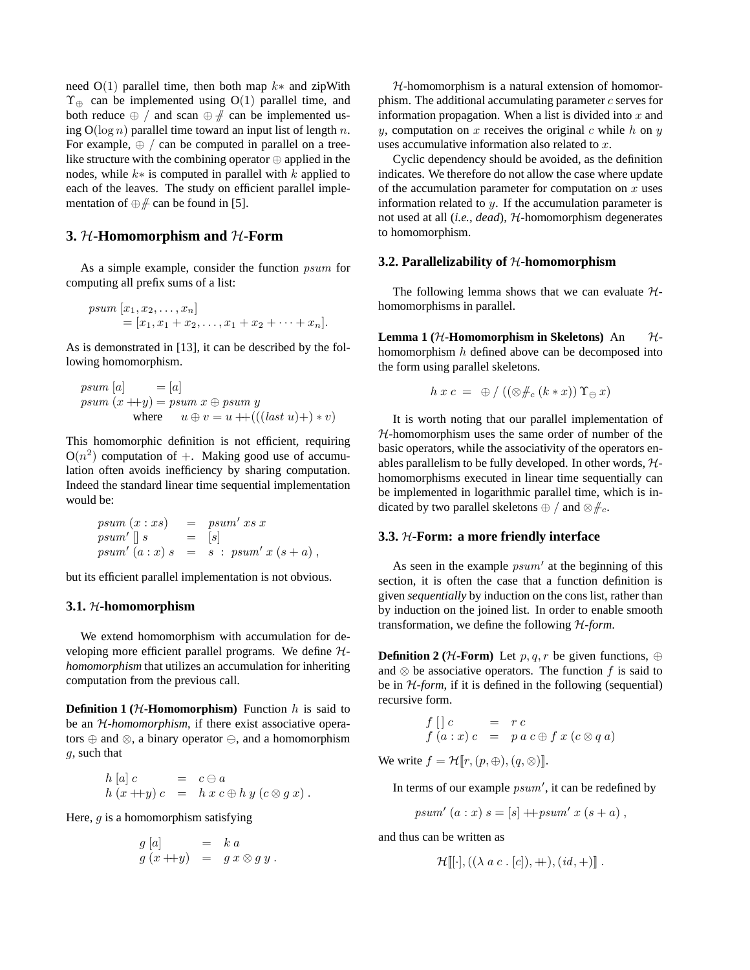need  $O(1)$  parallel time, then both map  $k*$  and zipWith  $\Upsilon_{\oplus}$  can be implemented using O(1) parallel time, and both reduce  $\oplus$  / and scan  $\oplus$   $\#$  can be implemented using  $O(\log n)$  parallel time toward an input list of length n. For example,  $\oplus$  / can be computed in parallel on a treelike structure with the combining operator ⊕ applied in the nodes, while  $k*$  is computed in parallel with k applied to each of the leaves. The study on efficient parallel implementation of  $\oplus$   $\#$  can be found in [5].

# **3.** H**-Homomorphism and** H**-Form**

As a simple example, consider the function psum for computing all prefix sums of a list:

$$
psum [x_1, x_2, \dots, x_n] = [x_1, x_1 + x_2, \dots, x_1 + x_2 + \dots + x_n].
$$

As is demonstrated in [13], it can be described by the following homomorphism.

$$
psum [a] = [a]
$$
  
\n
$$
psum (x + y) = psum x \oplus psum y
$$
  
\nwhere  $u \oplus v = u + (((last u) +) * v)$ 

This homomorphic definition is not efficient, requiring  $O(n^2)$  computation of +. Making good use of accumulation often avoids inefficiency by sharing computation. Indeed the standard linear time sequential implementation would be:

$$
psum (x : xs) = psum' xs x
$$
  
\n
$$
psum' [] s = [s]
$$
  
\n
$$
psum' (a : x) s = s : psum' x (s + a),
$$

but its efficient parallel implementation is not obvious.

#### **3.1.** H**-homomorphism**

We extend homomorphism with accumulation for developing more efficient parallel programs. We define H*homomorphism* that utilizes an accumulation for inheriting computation from the previous call.

**Definition 1** ( $H$ **-Homomorphism**) Function  $h$  is said to be an H*-homomorphism*, if there exist associative operators  $oplus$  and  $\otimes$ , a binary operator  $\ominus$ , and a homomorphism g, such that

$$
h [a] c = c \ominus a
$$
  
\n
$$
h (x + y) c = h x c \oplus h y (c \otimes g x).
$$

Here,  $q$  is a homomorphism satisfying

$$
g [a] = k a
$$
  

$$
g (x + y) = g x \otimes g y.
$$

 $H$ -homomorphism is a natural extension of homomorphism. The additional accumulating parameter  $c$  serves for information propagation. When a list is divided into  $x$  and y, computation on x receives the original c while h on y uses accumulative information also related to x.

Cyclic dependency should be avoided, as the definition indicates. We therefore do not allow the case where update of the accumulation parameter for computation on  $x$  uses information related to  $y$ . If the accumulation parameter is not used at all (*i.e.*, *dead*), H-homomorphism degenerates to homomorphism.

### **3.2. Parallelizability of**  $H$ **-homomorphism**

The following lemma shows that we can evaluate  $H$ homomorphisms in parallel.

**Lemma** 1 ( $H$ **-Homomorphism** in Skeletons) An  $H$ homomorphism  $h$  defined above can be decomposed into the form using parallel skeletons.

$$
h\,x\,c\ =\ \oplus\ /\ ((\otimes \#_c\,(k * x))\,\Upsilon_{\ominus}\,x)
$$

It is worth noting that our parallel implementation of  $H$ -homomorphism uses the same order of number of the basic operators, while the associativity of the operators enables parallelism to be fully developed. In other words,  $H$ homomorphisms executed in linear time sequentially can be implemented in logarithmic parallel time, which is indicated by two parallel skeletons  $\oplus$  / and  $\otimes \#_{c}$ .

#### **3.3.** H**-Form: a more friendly interface**

As seen in the example  $psum'$  at the beginning of this section, it is often the case that a function definition is given *sequentially* by induction on the cons list, rather than by induction on the joined list. In order to enable smooth transformation, we define the following H*-form*.

**Definition 2** ( $H$ **-Form**) Let p, q, r be given functions, ⊕ and  $\otimes$  be associative operators. The function f is said to be in H*-form*, if it is defined in the following (sequential) recursive form.

$$
f \left[ \begin{array}{ccc} c & = & r \, c \\ f \left( a : x \right) c & = & p \, a \, c \oplus f \, x \left( c \otimes q \, a \right) \end{array} \right]
$$

We write  $f = \mathcal{H}[r,(p,\oplus),(q,\otimes)]$ .

In terms of our example  $psum'$ , it can be redefined by

$$
psum' (a : x) s = [s] + psum' x (s + a),
$$

and thus can be written as

$$
\mathcal{H}[[\cdot], ((\lambda \, a \, c \cdot [c]), +), (id, +)] \ .
$$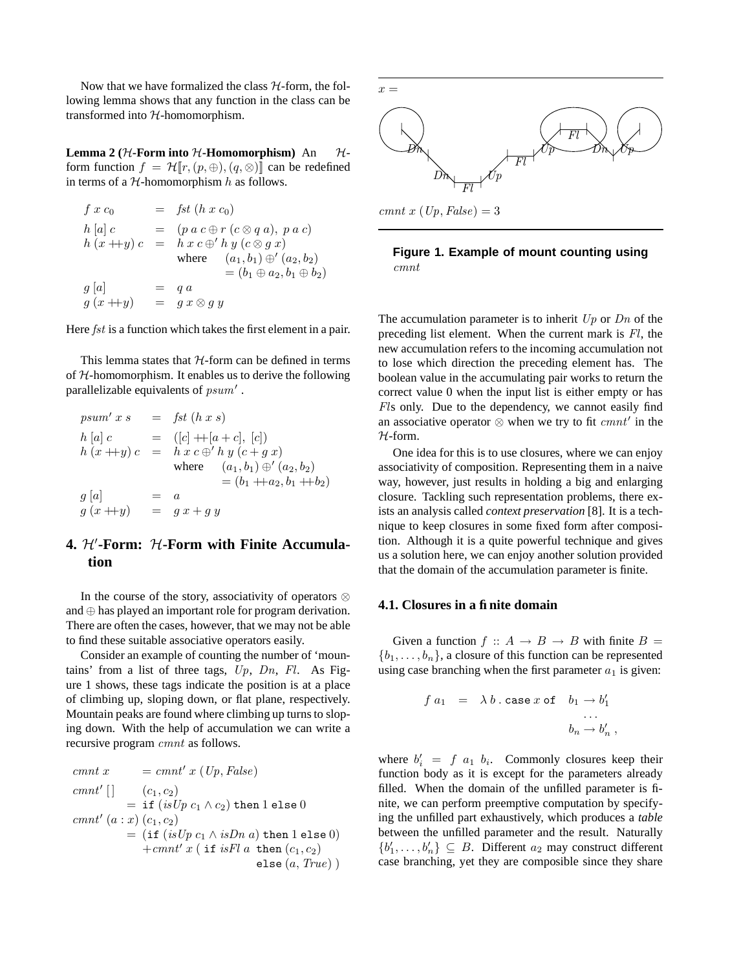Now that we have formalized the class  $H$ -form, the following lemma shows that any function in the class can be transformed into  $H$ -homomorphism.

**Lemma** 2 ( $H$ -Form into  $H$ -Homomorphism) An  $H$ form function  $f = \mathcal{H}[r,(p,\oplus),(q,\otimes)]$  can be redefined in terms of a  $H$ -homomorphism h as follows.

$$
f x c_0 = f s t (h x c_0)
$$
  
\n
$$
h [a] c = (p a c \oplus r (c \otimes q a), p a c)
$$
  
\n
$$
h (x + y) c = h x c \oplus h y (c \otimes g x)
$$
  
\nwhere  $(a_1, b_1) \oplus (a_2, b_2)$   
\n
$$
g [a] = q a
$$
  
\n
$$
g (x + y) = g x \otimes g y
$$

Here *fst* is a function which takes the first element in a pair.

This lemma states that  $H$ -form can be defined in terms of  $H$ -homomorphism. It enables us to derive the following parallelizable equivalents of  $psum'$ .

$$
psum' \; x \; s = \; fst \; (h \; x \; s)
$$
\n
$$
h [a] \; c = ([c] + [a + c], [c])
$$
\n
$$
h (x + y) \; c = h \; x \; c \oplus' h \; y \; (c + g \; x)
$$
\n
$$
where \; (a_1, b_1) \oplus' (a_2, b_2)
$$
\n
$$
= (b_1 + a_2, b_1 + b_2)
$$
\n
$$
g [a] = a
$$
\n
$$
g (x + y) = g \; x + g \; y
$$

# **4.**  $H'$ -Form:  $H$ -Form with Finite Accumula**tion**

In the course of the story, associativity of operators  $\otimes$ and ⊕ has played an important role for program derivation. There are often the cases, however, that we may not be able to find these suitable associative operators easily.

Consider an example of counting the number of 'mountains' from a list of three tags,  $Up$ ,  $Dn$ ,  $Fl$ . As Figure 1 shows, these tags indicate the position is at a place of climbing up, sloping down, or flat plane, respectively. Mountain peaks are found where climbing up turns to sloping down. With the help of accumulation we can write a recursive program cmnt as follows.

$$
cmmt x = cmmt' x (Up, False)
$$
  
\n
$$
cmmt' [] (c_1, c_2)
$$
  
\n
$$
= if (isUp c_1 \land c_2) then 1 else 0
$$
  
\n
$$
cmmt' (a : x) (c_1, c_2)
$$
  
\n
$$
= (if (isUp c_1 \land isDn a) then 1 else 0)
$$
  
\n
$$
+cmnt' x (if isFl a then (c_1, c_2)
$$
  
\nelse (a, True))



**Figure 1. Example of mount counting using**

cmnt

The accumulation parameter is to inherit  $Up$  or  $Dn$  of the preceding list element. When the current mark is Fl, the new accumulation refers to the incoming accumulation not to lose which direction the preceding element has. The boolean value in the accumulating pair works to return the correct value 0 when the input list is either empty or has Fls only. Due to the dependency, we cannot easily find an associative operator  $\otimes$  when we try to fit  $cmm'$  in the H-form.

One idea for this is to use closures, where we can enjoy associativity of composition. Representing them in a naive way, however, just results in holding a big and enlarging closure. Tackling such representation problems, there exists an analysis called *context preservation* [8]. It is a technique to keep closures in some fixed form after composition. Although it is a quite powerful technique and gives us a solution here, we can enjoy another solution provided that the domain of the accumulation parameter is finite.

### **4.1. Closures in a finite domain**

Given a function  $f :: A \rightarrow B \rightarrow B$  with finite  $B =$  ${b_1, \ldots, b_n}$ , a closure of this function can be represented using case branching when the first parameter  $a_1$  is given:

$$
\begin{array}{rcl} f\; a_1 & = & \lambda\; b \;.\; \mathtt{case}\; x \; \mathtt{of} & b_1 \to b_1'\\ & & \dots \\ & & b_n \to b_n' \end{array}
$$

,

where  $b'_i = f a_1 b_i$ . Commonly closures keep their function body as it is except for the parameters already filled. When the domain of the unfilled parameter is finite, we can perform preemptive computation by specifying the unfilled part exhaustively, which produces a *table* between the unfilled parameter and the result. Naturally  ${b'_1, \ldots, b'_n} \subseteq B$ . Different  $a_2$  may construct different case branching, yet they are composible since they share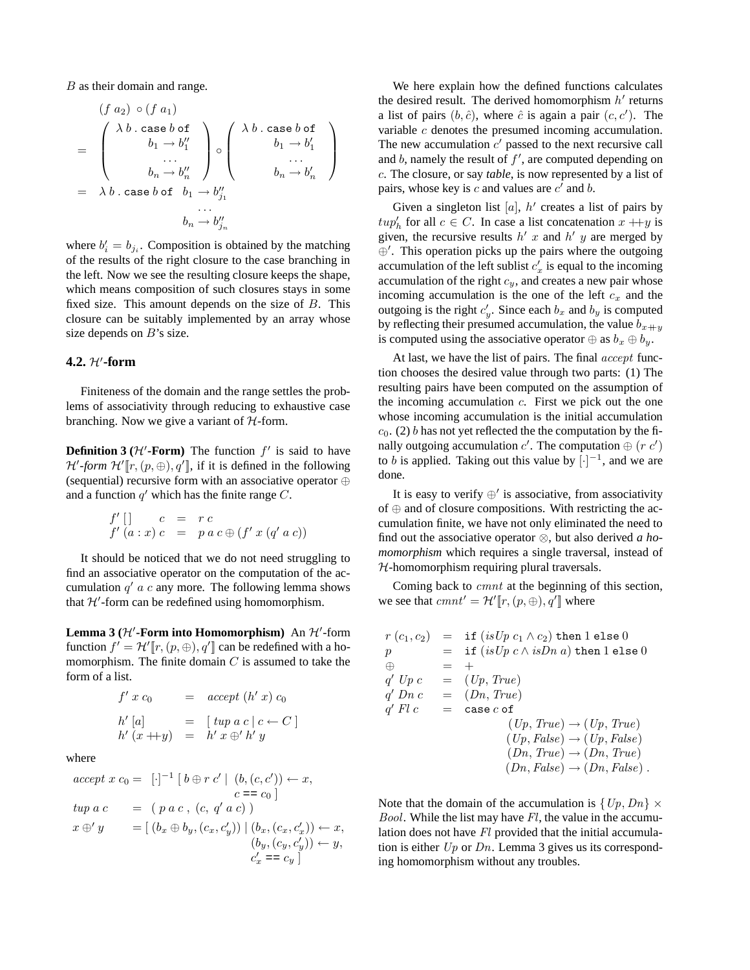$B$  as their domain and range.

$$
(f a_2) \circ (f a_1)
$$
\n
$$
= \begin{pmatrix}\n\lambda b \cdot \text{case } b \text{ of } \\
b_1 \rightarrow b_1'' \\
\vdots \\
b_n \rightarrow b_n''\n\end{pmatrix} \circ \begin{pmatrix}\n\lambda b \cdot \text{case } b \text{ of } \\
b_1 \rightarrow b_1' \\
\vdots \\
b_n \rightarrow b_n'\n\end{pmatrix}
$$
\n
$$
= \lambda b \cdot \text{case } b \text{ of } b_1 \rightarrow b_{j_1}'
$$
\n
$$
b_n \rightarrow b_{j_n}''
$$

where  $b_i' = b_{j_i}$ . Composition is obtained by the matching of the results of the right closure to the case branching in the left. Now we see the resulting closure keeps the shape, which means composition of such closures stays in some fixed size. This amount depends on the size of B. This closure can be suitably implemented by an array whose size depends on  $B$ 's size.

# $4.2.$   $H'$ -form

Finiteness of the domain and the range settles the problems of associativity through reducing to exhaustive case branching. Now we give a variant of  $H$ -form.

**Definition 3 (** $H'$ **-Form) The function**  $f'$  **is said to have**  $\mathcal{H}'$ -form  $\mathcal{H}'[\![r,(p,\oplus),q']\!]$ , if it is defined in the following (sequential) recursive form with an associative operator ⊕ and a function  $q'$  which has the finite range  $C$ .

$$
f' [] c = r c
$$
  

$$
f' (a:x) c = p a c \oplus (f' x (q' a c))
$$

It should be noticed that we do not need struggling to find an associative operator on the computation of the accumulation  $q'$  a c any more. The following lemma shows that  $H'$ -form can be redefined using homomorphism.

**Lemma** 3 ( $H'$ -Form into Homomorphism) An  $H'$ -form function  $f' = \mathcal{H}'[r,(p,\oplus), q']$  can be redefined with a homomorphism. The finite domain  $C$  is assumed to take the form of a list.

$$
f' \ x \ c_0 = accept (h' \ x) \ c_0
$$
  
\n
$$
h' [a] = [tup \ a \ c \ | \ c \leftarrow C]
$$
  
\n
$$
h' (x + y) = h' \ x \oplus' h' \ y
$$

where

$$
accept x c_0 = [-]^{-1} [b \oplus r c' | (b, (c, c')) \leftarrow x,\nc = c_0]\ntup a c = (p a c, (c, q' a c))\nx \oplus' y = [(b_x \oplus b_y, (c_x, c'_y)) | (b_x, (c_x, c'_x)) \leftarrow x,\n(b_y, (c_y, c'_y)) \leftarrow y,\nc'_x = c_y ]
$$

We here explain how the defined functions calculates the desired result. The derived homomorphism  $h'$  returns a list of pairs  $(b, \hat{c})$ , where  $\hat{c}$  is again a pair  $(c, c')$ . The variable c denotes the presumed incoming accumulation. The new accumulation  $c'$  passed to the next recursive call and  $b$ , namely the result of  $f'$ , are computed depending on c. The closure, or say *table*, is now represented by a list of pairs, whose key is  $c$  and values are  $c'$  and  $b$ .

Given a singleton list  $[a]$ ,  $h'$  creates a list of pairs by  $t u p'_h$  for all  $c \in C$ . In case a list concatenation  $x + y$  is given, the recursive results  $h'$  x and  $h'$  y are merged by ⊕'. This operation picks up the pairs where the outgoing accumulation of the left sublist  $c'_x$  is equal to the incoming accumulation of the right  $c_y$ , and creates a new pair whose incoming accumulation is the one of the left  $c_x$  and the outgoing is the right  $c'_y$ . Since each  $b_x$  and  $b_y$  is computed by reflecting their presumed accumulation, the value  $b_{x+ y}$ is computed using the associative operator  $\oplus$  as  $b_x \oplus b_y$ .

At last, we have the list of pairs. The final *accept* function chooses the desired value through two parts: (1) The resulting pairs have been computed on the assumption of the incoming accumulation  $c$ . First we pick out the one whose incoming accumulation is the initial accumulation  $c_0$ . (2) b has not yet reflected the the computation by the finally outgoing accumulation c'. The computation  $\oplus$   $(r c')$ to *b* is applied. Taking out this value by  $\lbrack \cdot \rbrack^{-1}$ , and we are done.

It is easy to verify  $\oplus'$  is associative, from associativity of ⊕ and of closure compositions. With restricting the accumulation finite, we have not only eliminated the need to find out the associative operator ⊗, but also derived *a homomorphism* which requires a single traversal, instead of  $H$ -homomorphism requiring plural traversals.

Coming back to cmnt at the beginning of this section, we see that  $cmm' = \mathcal{H}'[\![r,(p,\oplus),q']\!]$  where

$$
r(c_1, c_2) = \text{if } (isUp c_1 \land c_2) \text{ then } 1 \text{ else } 0
$$
  
\n
$$
p = \text{if } (isUp c \land isDn a) \text{ then } 1 \text{ else } 0
$$
  
\n
$$
\oplus = +
$$
  
\n
$$
q' Up c = (Up, True)
$$
  
\n
$$
q' Ph c = (Dn, True)
$$
  
\n
$$
q' Fl c = \text{case } c \text{ of } (Up, True) \rightarrow (Up, True)
$$
  
\n
$$
(Up, False) \rightarrow (Up, False)
$$
  
\n
$$
(Dn, False) \rightarrow (Dn, False).
$$

Note that the domain of the accumulation is  $\{Up, Dn\} \times$ *Bool.* While the list may have  $Fl$ , the value in the accumulation does not have Fl provided that the initial accumulation is either  $Up$  or  $Dn$ . Lemma 3 gives us its corresponding homomorphism without any troubles.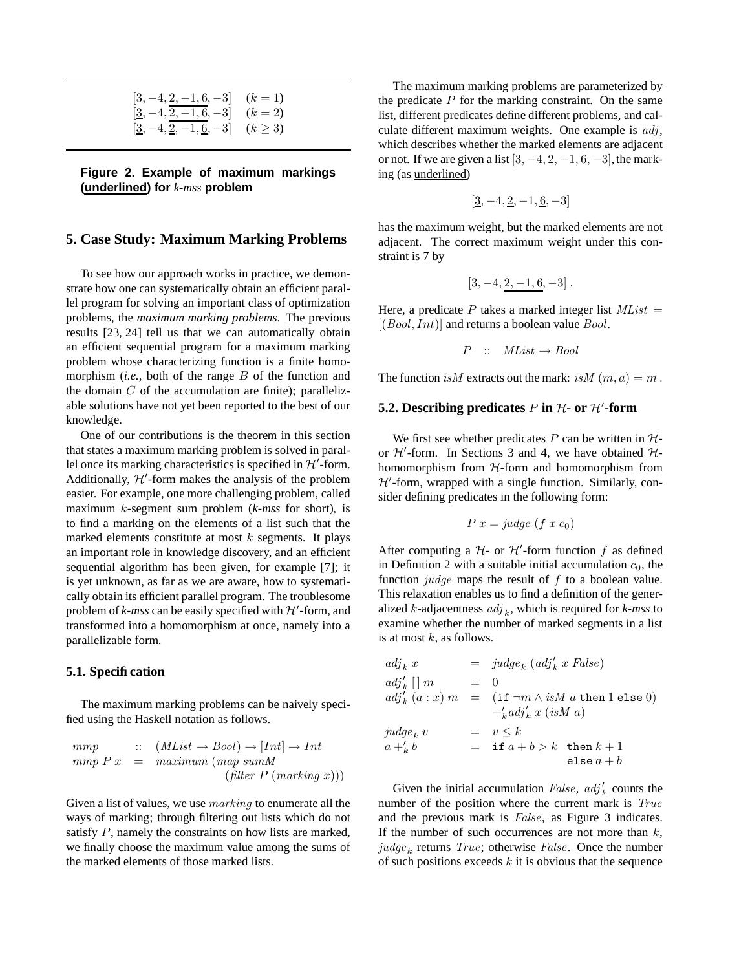| $[3, -4, 2, -1, 6, -3]$ $(k = 1)$                           |  |
|-------------------------------------------------------------|--|
| $[ \underline{3}, -4, \underline{2}, -1, 6, -3 ]$ $(k = 2)$ |  |
| $[3, -4, 2, -1, 6, -3]$ $(k \ge 3)$                         |  |

**Figure 2. Example of maximum markings (underlined) for** *k-mss* **problem**

## **5. Case Study: Maximum Marking Problems**

To see how our approach works in practice, we demonstrate how one can systematically obtain an efficient parallel program for solving an important class of optimization problems, the *maximum marking problems*. The previous results [23, 24] tell us that we can automatically obtain an efficient sequential program for a maximum marking problem whose characterizing function is a finite homomorphism (*i.e.*, both of the range B of the function and the domain  $C$  of the accumulation are finite); parallelizable solutions have not yet been reported to the best of our knowledge.

One of our contributions is the theorem in this section that states a maximum marking problem is solved in parallel once its marking characteristics is specified in  $H'$ -form. Additionally,  $H'$ -form makes the analysis of the problem easier. For example, one more challenging problem, called maximum k-segment sum problem (*k-mss* for short), is to find a marking on the elements of a list such that the marked elements constitute at most  $k$  segments. It plays an important role in knowledge discovery, and an efficient sequential algorithm has been given, for example [7]; it is yet unknown, as far as we are aware, how to systematically obtain its efficient parallel program. The troublesome problem of  $k$ -mss can be easily specified with  $H'$ -form, and transformed into a homomorphism at once, namely into a parallelizable form.

#### **5.1. Specification**

The maximum marking problems can be naively specified using the Haskell notation as follows.

$$
\begin{array}{rcl}\n mmp & :: & (MList \to Bool) \to [Int] \to Int \\
 mmp P x & = & maximum (map sumM) \\
 & & (filter P ( marking x))\n \end{array}
$$

Given a list of values, we use marking to enumerate all the ways of marking; through filtering out lists which do not satisfy P, namely the constraints on how lists are marked, we finally choose the maximum value among the sums of the marked elements of those marked lists.

The maximum marking problems are parameterized by the predicate  $P$  for the marking constraint. On the same list, different predicates define different problems, and calculate different maximum weights. One example is  $adj$ , which describes whether the marked elements are adjacent or not. If we are given a list  $[3, -4, 2, -1, 6, -3]$ , the marking (as underlined)

$$
[3, -4, \underline{2}, -1, \underline{6}, -3]
$$

has the maximum weight, but the marked elements are not adjacent. The correct maximum weight under this constraint is 7 by

$$
[3, -4, 2, -1, 6, -3].
$$

Here, a predicate P takes a marked integer list  $MList$  =  $[(Bool, Int)]$  and returns a boolean value  $Bool$ .

$$
P :: \tMList \to Bool
$$

The function is M extracts out the mark: is  $M(m, a) = m$ .

# **5.2.** Describing predicates  $P$  in  $H$ - or  $H'$ -form

We first see whether predicates  $P$  can be written in  $H$ or  $\mathcal{H}'$ -form. In Sections 3 and 4, we have obtained  $\mathcal{H}$ homomorphism from  $H$ -form and homomorphism from  $H'$ -form, wrapped with a single function. Similarly, consider defining predicates in the following form:

$$
P x = \text{judge } (f x c_0)
$$

After computing a  $H$ - or  $H'$ -form function f as defined in Definition 2 with a suitable initial accumulation  $c_0$ , the function  $judge$  maps the result of  $f$  to a boolean value. This relaxation enables us to find a definition of the generalized  $k$ -adjacentness  $adj_k$ , which is required for  $k$ -mss to examine whether the number of marked segments in a list is at most  $k$ , as follows.

| $adj_k x$         |       | $=$ judge <sub>k</sub> (adj' <sub>k</sub> x False) |
|-------------------|-------|----------------------------------------------------|
| $adj'_k \mid m$   | $= 0$ |                                                    |
| $adj'_{k}(a:x)$ m |       | $=$ (if $\neg m \wedge isM$ a then 1 else 0)       |
|                   |       | $+i_a d^i_k x (isMa)$                              |
| $judge_k$ v       |       | $= v \leq k$                                       |
| $a +'_{k} b$      |       | $=$ if $a+b>k$ then $k+1$                          |
|                   |       | else $a+b$                                         |

Given the initial accumulation  $False, adj'_k$  counts the number of the position where the current mark is True and the previous mark is False, as Figure 3 indicates. If the number of such occurrences are not more than  $k$ ,  $judge_k$  returns  $True;$  otherwise  $False.$  Once the number of such positions exceeds  $k$  it is obvious that the sequence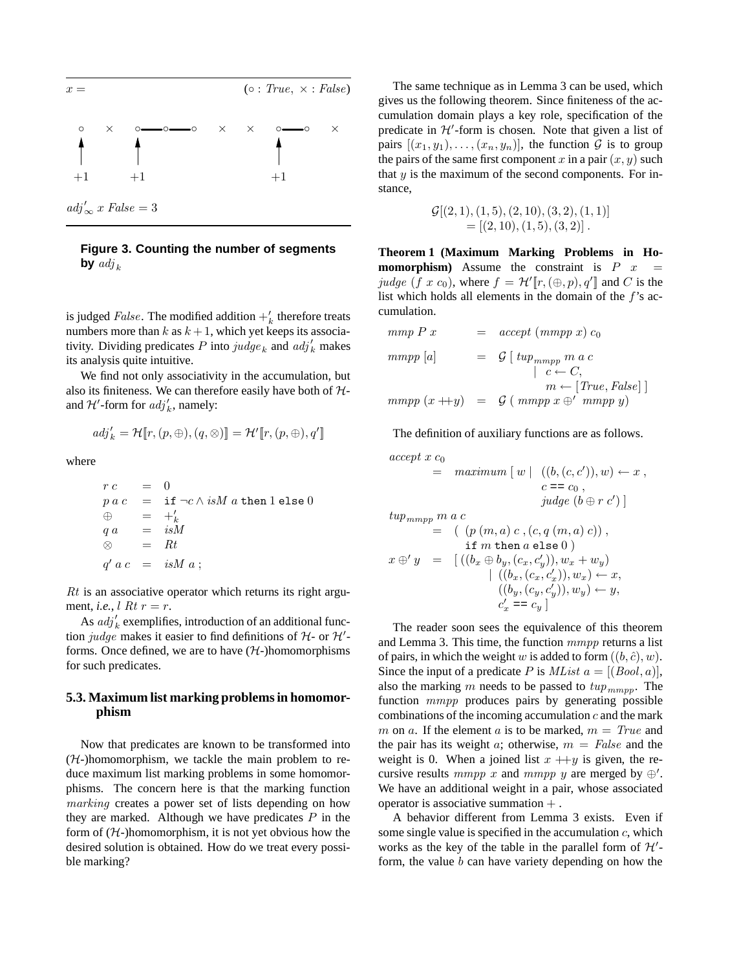

**Figure 3. Counting the number of segments by**  $adj_k$ 

is judged *False*. The modified addition  $+\frac{1}{k}$  therefore treats numbers more than k as  $k + 1$ , which yet keeps its associativity. Dividing predicates P into  $\mathit{judge}_k$  and  $\mathit{adj}'_k$  makes its analysis quite intuitive.

We find not only associativity in the accumulation, but also its finiteness. We can therefore easily have both of  $H$ and  $\mathcal{H}'$ -form for  $adj'_k$ , namely:

$$
\mathit{adj}'_k = \mathcal{H}\llbracket r, (p, \oplus), (q, \otimes) \rrbracket = \mathcal{H}'\llbracket r, (p, \oplus), q' \rrbracket
$$

where

$$
rc = 0
$$
  
\n
$$
p ac = if \neg c \land isM a then 1 else 0
$$
  
\n
$$
\oplus = +'_{k}
$$
  
\n
$$
qa = isM
$$
  
\n
$$
\otimes = Rt
$$
  
\n
$$
q' ac = isM a;
$$

 $Rt$  is an associative operator which returns its right argument, *i.e.*,  $l R t r = r$ .

As  $adj'_k$  exemplifies, introduction of an additional function judge makes it easier to find definitions of  $H$ - or  $H'$ forms. Once defined, we are to have  $(H-)$ homomorphisms for such predicates.

## **5.3. Maximum list marking problemsin homomorphism**

Now that predicates are known to be transformed into  $(H-)homomorphism$ , we tackle the main problem to reduce maximum list marking problems in some homomorphisms. The concern here is that the marking function marking creates a power set of lists depending on how they are marked. Although we have predicates  $P$  in the form of  $(H-)$ homomorphism, it is not yet obvious how the desired solution is obtained. How do we treat every possible marking?

The same technique as in Lemma 3 can be used, which gives us the following theorem. Since finiteness of the accumulation domain plays a key role, specification of the predicate in  $H'$ -form is chosen. Note that given a list of pairs  $[(x_1, y_1), \ldots, (x_n, y_n)]$ , the function  $G$  is to group the pairs of the same first component x in a pair  $(x, y)$  such that  $y$  is the maximum of the second components. For instance,

$$
\mathcal{G}[(2,1), (1,5), (2,10), (3,2), (1,1)]
$$
  
= [(2,10), (1,5), (3,2)].

**Theorem 1 (Maximum Marking Problems in Homomorphism**) Assume the constraint is  $P(x) =$ judge (f x c<sub>0</sub>), where  $f = \mathcal{H}'[\![r,(\oplus,p),q']\!]$  and C is the list which holds all elements in the domain of the  $f$ 's accumulation.

$$
mmp P x = accept (mmpp x) c_0
$$
  
\n
$$
mmpp [a] = G [tup_{mmpp} m a c
$$
  
\n
$$
c \leftarrow C,
$$
  
\n
$$
m \leftarrow [True, False] ]
$$
  
\n
$$
mmpp (x + y) = G (mmpp x \oplus ' mmp y)
$$

The definition of auxiliary functions are as follows.

$$
accept x c_0
$$
  
= 
$$
maximum [w | ((b, (c, c')), w) \leftarrow x ,
$$
  

$$
c == c_0 ,
$$
  

$$
judge (b \oplus r c')]
$$
  

$$
tup_{mmpp} m a c
$$
  
= 
$$
((p (m, a) c, (c, q (m, a) c)),
$$
  

$$
if m then a else 0)
$$
  

$$
x \oplus' y = [((b_x \oplus b_y, (c_x, c'_y)), w_x + w_y)
$$
  

$$
| ((b_x, (c_x, c'_x)), w_x) \leftarrow x,
$$
  

$$
((b_y, (c_y, c'_y)), w_y) \leftarrow y,
$$
  

$$
c'_x = c_y ]
$$

The reader soon sees the equivalence of this theorem and Lemma 3. This time, the function mmpp returns a list of pairs, in which the weight w is added to form  $((b, \hat{c}), w)$ . Since the input of a predicate P is  $MList a = [(Bool, a)],$ also the marking m needs to be passed to  $tup_{mmpp}$ . The function *mmpp* produces pairs by generating possible combinations of the incoming accumulation  $c$  and the mark m on a. If the element a is to be marked,  $m = True$  and the pair has its weight a; otherwise,  $m = False$  and the weight is 0. When a joined list  $x + y$  is given, the recursive results mmpp x and mmpp y are merged by  $\oplus'$ . We have an additional weight in a pair, whose associated operator is associative summation  $+$ .

A behavior different from Lemma 3 exists. Even if some single value is specified in the accumulation  $c$ , which works as the key of the table in the parallel form of  $\mathcal{H}'$ form, the value  $b$  can have variety depending on how the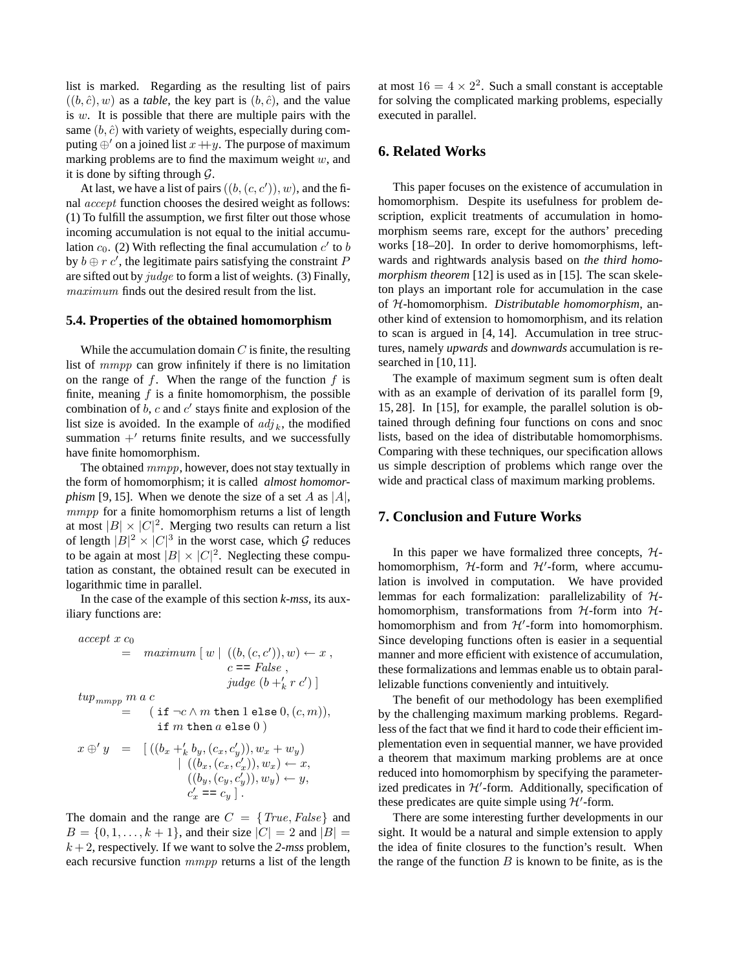list is marked. Regarding as the resulting list of pairs  $((b, \hat{c}), w)$  as a *table*, the key part is  $(b, \hat{c})$ , and the value is  $w$ . It is possible that there are multiple pairs with the same  $(b, \hat{c})$  with variety of weights, especially during computing  $\oplus'$  on a joined list  $x+y$ . The purpose of maximum marking problems are to find the maximum weight  $w$ , and it is done by sifting through  $\mathcal{G}$ .

At last, we have a list of pairs  $((b, (c, c')), w)$ , and the final accept function chooses the desired weight as follows: (1) To fulfill the assumption, we first filter out those whose incoming accumulation is not equal to the initial accumulation  $c_0$ . (2) With reflecting the final accumulation  $c'$  to b by  $b \oplus r c'$ , the legitimate pairs satisfying the constraint P are sifted out by judge to form a list of weights. (3) Finally, maximum finds out the desired result from the list.

#### **5.4. Properties of the obtained homomorphism**

While the accumulation domain  $C$  is finite, the resulting list of mmpp can grow infinitely if there is no limitation on the range of f. When the range of the function f is finite, meaning  $f$  is a finite homomorphism, the possible combination of  $b$ ,  $c$  and  $c'$  stays finite and explosion of the list size is avoided. In the example of  $adj_k$ , the modified summation  $+$ ' returns finite results, and we successfully have finite homomorphism.

The obtained mmpp, however, does not stay textually in the form of homomorphism; it is called *almost homomorphism* [9, 15]. When we denote the size of a set A as  $|A|$ , mmpp for a finite homomorphism returns a list of length at most  $|B| \times |C|^2$ . Merging two results can return a list of length  $|B|^2 \times |C|^3$  in the worst case, which  $\mathcal G$  reduces to be again at most  $|B| \times |C|^2$ . Neglecting these computation as constant, the obtained result can be executed in logarithmic time in parallel.

In the case of the example of this section *k-mss*, its auxiliary functions are:

$$
accept x c_0
$$
  
= 
$$
maximum [w | ((b, (c, c')), w) \leftarrow x , c == False ,\n 
$$
judge (b + '_{k} r c')]
$$
  

$$
tup_{mmpp} m a c
$$
  
= 
$$
(\text{if } \neg c \land m \text{ then } 1 \text{ else } 0, (c, m)),\n \text{if } m \text{ then } a \text{ else } 0)
$$
  

$$
x \oplus' y = [((b_x + '_{k} b_y, (c_x, c'_y)), w_x + w_y) + ((b_x, (c_x, c'_x)), w_x) \leftarrow x,\n ((b_y, (c_y, c'_y)), w_y) \leftarrow y,\n c'_x = c_y ].
$$
$$

The domain and the range are  $C = \{True, False\}$  and  $B = \{0, 1, \ldots, k + 1\}$ , and their size  $|C| = 2$  and  $|B| =$  $k + 2$ , respectively. If we want to solve the 2-mss problem, each recursive function *mmpp* returns a list of the length

at most  $16 = 4 \times 2^2$ . Such a small constant is acceptable for solving the complicated marking problems, especially executed in parallel.

# **6. Related Works**

This paper focuses on the existence of accumulation in homomorphism. Despite its usefulness for problem description, explicit treatments of accumulation in homomorphism seems rare, except for the authors' preceding works [18–20]. In order to derive homomorphisms, leftwards and rightwards analysis based on *the third homomorphism theorem* [12] is used as in [15]. The scan skeleton plays an important role for accumulation in the case of H-homomorphism. *Distributable homomorphism*, another kind of extension to homomorphism, and its relation to scan is argued in [4, 14]. Accumulation in tree structures, namely *upwards* and *downwards* accumulation is researched in [10, 11].

The example of maximum segment sum is often dealt with as an example of derivation of its parallel form [9, 15, 28]. In [15], for example, the parallel solution is obtained through defining four functions on cons and snoc lists, based on the idea of distributable homomorphisms. Comparing with these techniques, our specification allows us simple description of problems which range over the wide and practical class of maximum marking problems.

#### **7. Conclusion and Future Works**

In this paper we have formalized three concepts,  $H$ homomorphism,  $H$ -form and  $H'$ -form, where accumulation is involved in computation. We have provided lemmas for each formalization: parallelizability of  $H$ homomorphism, transformations from  $H$ -form into  $H$ homomorphism and from  $H'$ -form into homomorphism. Since developing functions often is easier in a sequential manner and more efficient with existence of accumulation, these formalizations and lemmas enable us to obtain parallelizable functions conveniently and intuitively.

The benefit of our methodology has been exemplified by the challenging maximum marking problems. Regardless of the fact that we find it hard to code their efficient implementation even in sequential manner, we have provided a theorem that maximum marking problems are at once reduced into homomorphism by specifying the parameterized predicates in  $H'$ -form. Additionally, specification of these predicates are quite simple using  $H'$ -form.

There are some interesting further developments in our sight. It would be a natural and simple extension to apply the idea of finite closures to the function's result. When the range of the function  $B$  is known to be finite, as is the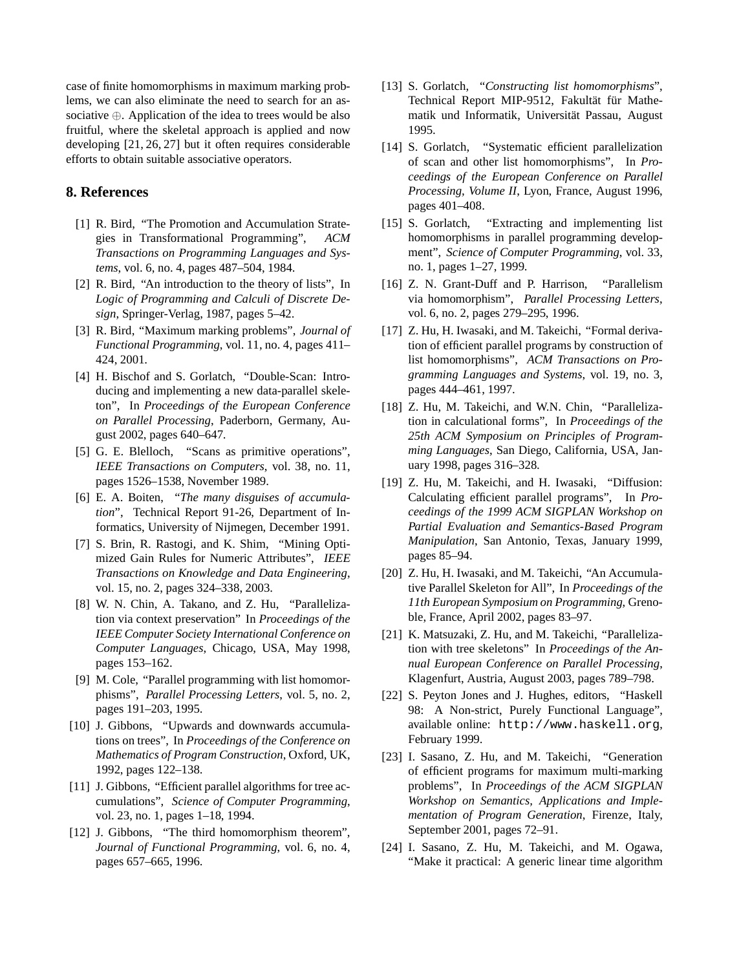case of finite homomorphisms in maximum marking problems, we can also eliminate the need to search for an associative ⊕. Application of the idea to trees would be also fruitful, where the skeletal approach is applied and now developing [21, 26, 27] but it often requires considerable efforts to obtain suitable associative operators.

# **8. References**

- [1] R. Bird, "The Promotion and Accumulation Strategies in Transformational Programming", *ACM Transactions on Programming Languages and Systems*, vol. 6, no. 4, pages 487–504, 1984.
- [2] R. Bird, "An introduction to the theory of lists", In *Logic of Programming and Calculi of Discrete Design*, Springer-Verlag, 1987, pages 5–42.
- [3] R. Bird, "Maximum marking problems", *Journal of Functional Programming*, vol. 11, no. 4, pages 411– 424, 2001.
- [4] H. Bischof and S. Gorlatch, "Double-Scan: Introducing and implementing a new data-parallel skeleton", In *Proceedings of the European Conference on Parallel Processing*, Paderborn, Germany, August 2002, pages 640–647.
- [5] G. E. Blelloch, "Scans as primitive operations", *IEEE Transactions on Computers*, vol. 38, no. 11, pages 1526–1538, November 1989.
- [6] E. A. Boiten, "*The many disguises of accumulation*", Technical Report 91-26, Department of Informatics, University of Nijmegen, December 1991.
- [7] S. Brin, R. Rastogi, and K. Shim, "Mining Optimized Gain Rules for Numeric Attributes", *IEEE Transactions on Knowledge and Data Engineering*, vol. 15, no. 2, pages 324–338, 2003.
- [8] W. N. Chin, A. Takano, and Z. Hu, "Parallelization via context preservation" In *Proceedings of the IEEE Computer Society International Conference on Computer Languages*, Chicago, USA, May 1998, pages 153–162.
- [9] M. Cole, "Parallel programming with list homomorphisms", *Parallel Processing Letters*, vol. 5, no. 2, pages 191–203, 1995.
- [10] J. Gibbons, "Upwards and downwards accumulations on trees", In *Proceedings of the Conference on Mathematics of Program Construction*, Oxford, UK, 1992, pages 122–138.
- [11] J. Gibbons, "Efficient parallel algorithms for tree accumulations", *Science of Computer Programming*, vol. 23, no. 1, pages 1–18, 1994.
- [12] J. Gibbons, "The third homomorphism theorem", *Journal of Functional Programming*, vol. 6, no. 4, pages 657–665, 1996.
- [13] S. Gorlatch, "*Constructing list homomorphisms*", Technical Report MIP-9512, Fakultät für Mathematik und Informatik, Universität Passau, August 1995.
- [14] S. Gorlatch, "Systematic efficient parallelization of scan and other list homomorphisms", In *Proceedings of the European Conference on Parallel Processing, Volume II*, Lyon, France, August 1996, pages 401–408.
- [15] S. Gorlatch, "Extracting and implementing list homomorphisms in parallel programming development", *Science of Computer Programming*, vol. 33, no. 1, pages 1–27, 1999.
- [16] Z. N. Grant-Duff and P. Harrison, "Parallelism" via homomorphism", *Parallel Processing Letters*, vol. 6, no. 2, pages 279–295, 1996.
- [17] Z. Hu, H. Iwasaki, and M. Takeichi, "Formal derivation of efficient parallel programs by construction of list homomorphisms", *ACM Transactions on Programming Languages and Systems*, vol. 19, no. 3, pages 444–461, 1997.
- [18] Z. Hu, M. Takeichi, and W.N. Chin, "Parallelization in calculational forms", In *Proceedings of the 25th ACM Symposium on Principles of Programming Languages*, San Diego, California, USA, January 1998, pages 316–328.
- [19] Z. Hu, M. Takeichi, and H. Iwasaki, "Diffusion: Calculating efficient parallel programs", In *Proceedings of the 1999 ACM SIGPLAN Workshop on Partial Evaluation and Semantics-Based Program Manipulation*, San Antonio, Texas, January 1999, pages 85–94.
- [20] Z. Hu, H. Iwasaki, and M. Takeichi, "An Accumulative Parallel Skeleton for All", In *Proceedings of the 11th European Symposium on Programming*, Grenoble, France, April 2002, pages 83–97.
- [21] K. Matsuzaki, Z. Hu, and M. Takeichi, "Parallelization with tree skeletons" In *Proceedings of the Annual European Conference on Parallel Processing*, Klagenfurt, Austria, August 2003, pages 789–798.
- [22] S. Peyton Jones and J. Hughes, editors, "Haskell" 98: A Non-strict, Purely Functional Language", available online: http://www.haskell.org, February 1999.
- [23] I. Sasano, Z. Hu, and M. Takeichi, "Generation of efficient programs for maximum multi-marking problems", In *Proceedings of the ACM SIGPLAN Workshop on Semantics, Applications and Implementation of Program Generation*, Firenze, Italy, September 2001, pages 72–91.
- [24] I. Sasano, Z. Hu, M. Takeichi, and M. Ogawa, "Make it practical: A generic linear time algorithm